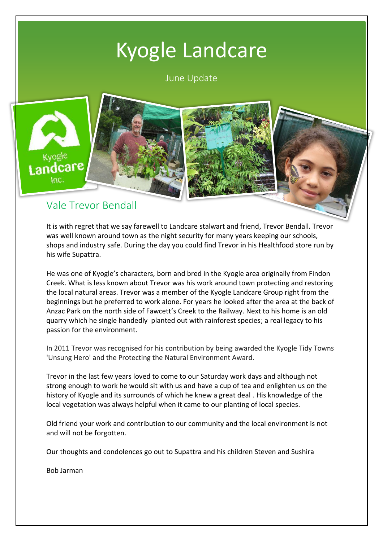# Kyogle Landcare

June Update



# Vale Trevor Bendall

It is with regret that we say farewell to Landcare stalwart and friend, Trevor Bendall. Trevor was well known around town as the night security for many years keeping our schools, shops and industry safe. During the day you could find Trevor in his Healthfood store run by his wife Supattra.

He was one of Kyogle's characters, born and bred in the Kyogle area originally from Findon Creek. What is less known about Trevor was his work around town protecting and restoring the local natural areas. Trevor was a member of the Kyogle Landcare Group right from the beginnings but he preferred to work alone. For years he looked after the area at the back of Anzac Park on the north side of Fawcett's Creek to the Railway. Next to his home is an old quarry which he single handedly planted out with rainforest species; a real legacy to his passion for the environment.

In 2011 Trevor was recognised for his contribution by being awarded the Kyogle Tidy Towns 'Unsung Hero' and the Protecting the Natural Environment Award.

Trevor in the last few years loved to come to our Saturday work days and although not strong enough to work he would sit with us and have a cup of tea and enlighten us on the history of Kyogle and its surrounds of which he knew a great deal . His knowledge of the local vegetation was always helpful when it came to our planting of local species.

Old friend your work and contribution to our community and the local environment is not and will not be forgotten.

Our thoughts and condolences go out to Supattra and his children Steven and Sushira

Bob Jarman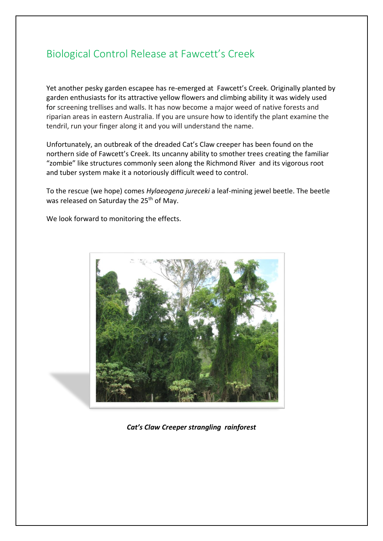# Biological Control Release at Fawcett's Creek

Yet another pesky garden escapee has re-emerged at Fawcett's Creek. Originally planted by garden enthusiasts for its attractive yellow flowers and climbing ability it was widely used for screening trellises and walls. It has now become a major weed of native forests and riparian areas in eastern Australia. If you are unsure how to identify the plant examine the tendril, run your finger along it and you will understand the name.

Unfortunately, an outbreak of the dreaded Cat's Claw creeper has been found on the northern side of Fawcett's Creek. Its uncanny ability to smother trees creating the familiar "zombie" like structures commonly seen along the Richmond River and its vigorous root and tuber system make it a notoriously difficult weed to control.

To the rescue (we hope) comes *Hylaeogena jureceki* a leaf-mining jewel beetle. The beetle was released on Saturday the 25<sup>th</sup> of May.

We look forward to monitoring the effects.



*Cat's Claw Creeper strangling rainforest*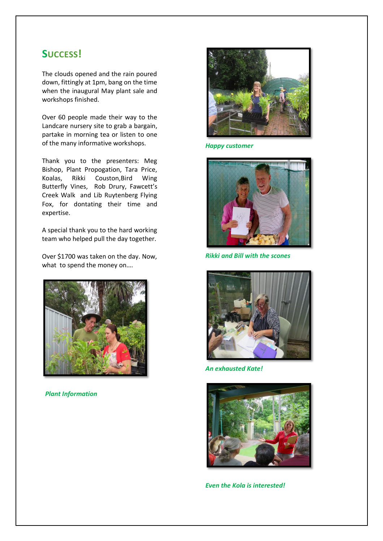### **SUCCESS!**

The clouds opened and the rain poured down, fittingly at 1pm, bang on the time when the inaugural May plant sale and workshops finished.

Over 60 people made their way to the Landcare nursery site to grab a bargain, partake in morning tea or listen to one of the many informative workshops.

Thank you to the presenters: Meg Bishop, Plant Propogation, Tara Price, Koalas, Rikki Couston,Bird Wing Butterfly Vines, Rob Drury, Fawcett's Creek Walk and Lib Ruytenberg Flying Fox, for dontating their time and expertise.

A special thank you to the hard working team who helped pull the day together.

Over \$1700 was taken on the day. Now, what to spend the money on....



*Plant Information*



*Happy customer* 



*Rikki and Bill with the scones*



*An exhausted Kate!* 



*Even the Kola is interested!*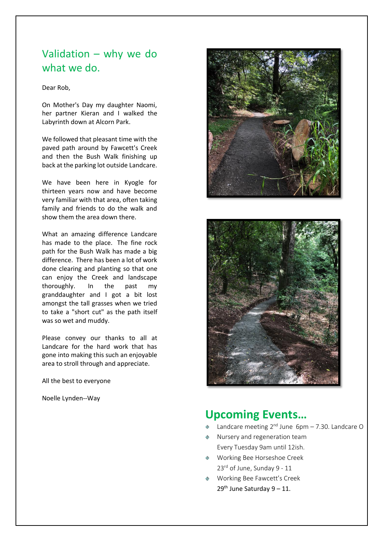# Validation – why we do what we do.

#### Dear Rob,

On Mother's Day my daughter Naomi, her partner Kieran and I walked the Labyrinth down at Alcorn Park.

We followed that pleasant time with the paved path around by Fawcett's Creek and then the Bush Walk finishing up back at the parking lot outside Landcare.

We have been here in Kyogle for thirteen years now and have become very familiar with that area, often taking family and friends to do the walk and show them the area down there.

What an amazing difference Landcare has made to the place. The fine rock path for the Bush Walk has made a big difference. There has been a lot of work done clearing and planting so that one can enjoy the Creek and landscape thoroughly. In the past my granddaughter and I got a bit lost amongst the tall grasses when we tried to take a "short cut" as the path itself was so wet and muddy.

Please convey our thanks to all at Landcare for the hard work that has gone into making this such an enjoyable area to stroll through and appreciate.

All the best to everyone

Noelle Lynden--Way





# **Upcoming Events…**

- Landcare meeting  $2^{nd}$  June  $6$ pm 7.30. Landcare O
- Nursery and regeneration team Every Tuesday 9am until 12ish.
- ◆ Working Bee Horseshoe Creek 23<sup>rd</sup> of June, Sunday 9 - 11
- Working Bee Fawcett's Creek  $29<sup>th</sup>$  June Saturday  $9 - 11$ .